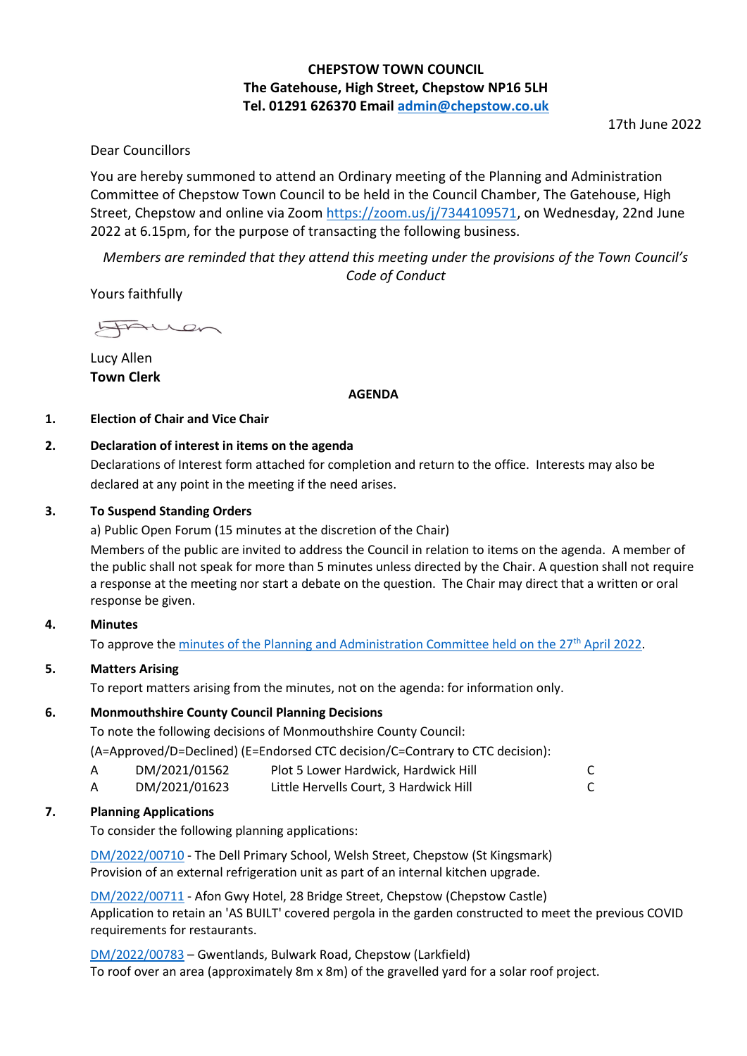## **CHEPSTOW TOWN COUNCIL The Gatehouse, High Street, Chepstow NP16 5LH Tel. 01291 626370 Email [admin@chepstow.co.uk](mailto:admin@chepstow.co.uk)**

17th June 2022

### Dear Councillors

You are hereby summoned to attend an Ordinary meeting of the Planning and Administration Committee of Chepstow Town Council to be held in the Council Chamber, The Gatehouse, High Street, Chepstow and online via Zoom [https://zoom.us/j/7344109571,](https://zoom.us/j/7344109571) on Wednesday, 22nd June 2022 at 6.15pm, for the purpose of transacting the following business.

*Members are reminded that they attend this meeting under the provisions of the Town Council's Code of Conduct*

Yours faithfully

LAuren

Lucy Allen **Town Clerk**

#### **AGENDA**

#### **1. Election of Chair and Vice Chair**

#### **2. Declaration of interest in items on the agenda**

Declarations of Interest form attached for completion and return to the office. Interests may also be declared at any point in the meeting if the need arises.

#### **3. To Suspend Standing Orders**

a) Public Open Forum (15 minutes at the discretion of the Chair)

Members of the public are invited to address the Council in relation to items on the agenda. A member of the public shall not speak for more than 5 minutes unless directed by the Chair. A question shall not require a response at the meeting nor start a debate on the question. The Chair may direct that a written or oral response be given.

#### **4. Minutes**

To approve th[e minutes of the Planning and Administration Committee held on the 27](http://www.chepstow.co.uk/_UserFiles/Files/_Minutes/143975-Minutes_of_Planning_OM_27th_April_2022.pdf)<sup>th</sup> April 2022.

#### **5. Matters Arising**

To report matters arising from the minutes, not on the agenda: for information only.

#### **6. Monmouthshire County Council Planning Decisions**

To note the following decisions of Monmouthshire County Council:

(A=Approved/D=Declined) (E=Endorsed CTC decision/C=Contrary to CTC decision):

| DM/2021/01562  | Plot 5 Lower Hardwick, Hardwick Hill                           |  |
|----------------|----------------------------------------------------------------|--|
| DIA/2024/04022 | بالثلثا والمتواطن والمستملك فالمستقي والمستحل المستحل والفقتان |  |

# A DM/2021/01623 Little Hervells Court, 3 Hardwick Hill C

#### **7. Planning Applications**

To consider the following planning applications:

[DM/2022/00710](https://planningonline.monmouthshire.gov.uk/online-applications/applicationDetails.do?keyVal=RBRNZ0KYKSP00&activeTab=summary) - The Dell Primary School, Welsh Street, Chepstow (St Kingsmark) Provision of an external refrigeration unit as part of an internal kitchen upgrade.

[DM/2022/00711](https://planningonline.monmouthshire.gov.uk/online-applications/applicationDetails.do?keyVal=RBRQRWKYKST00&activeTab=summary) - Afon Gwy Hotel, 28 Bridge Street, Chepstow (Chepstow Castle) Application to retain an 'AS BUILT' covered pergola in the garden constructed to meet the previous COVID requirements for restaurants.

[DM/2022/00783](https://planningonline.monmouthshire.gov.uk/online-applications/applicationDetails.do?keyVal=RCFQP2KYKYG00&activeTab=summary) – Gwentlands, Bulwark Road, Chepstow (Larkfield) To roof over an area (approximately 8m x 8m) of the gravelled yard for a solar roof project.